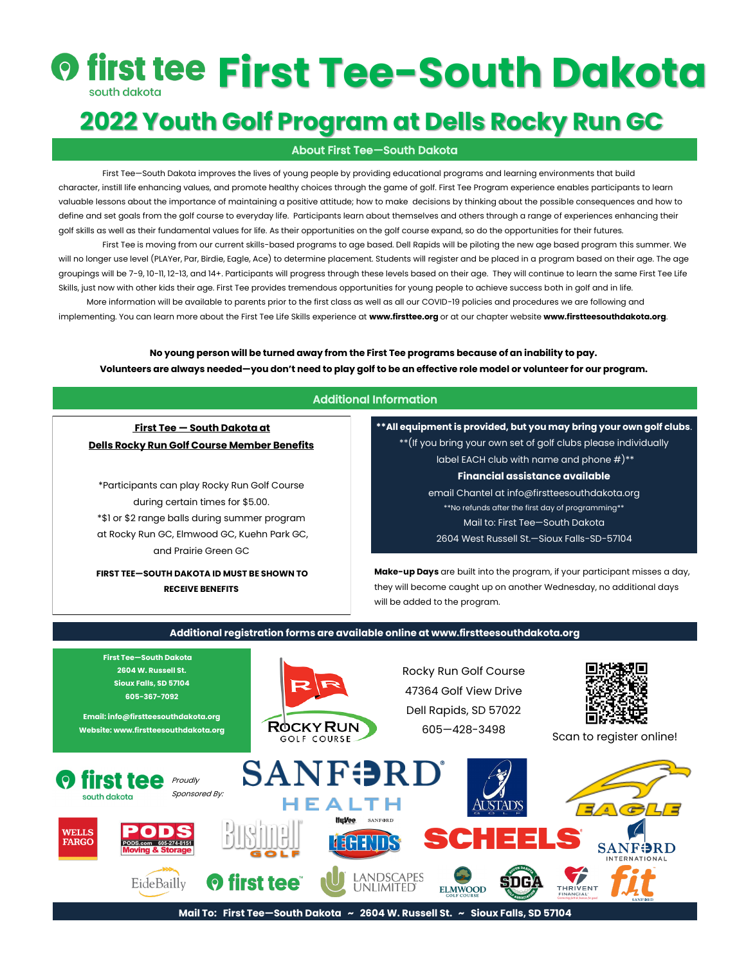# *<b>O first Tee-South Dakota*

## **2022 Youth Golf Program at Dells Rocky Run GC**

#### About First Tee—South Dakota

First Tee—South Dakota improves the lives of young people by providing educational programs and learning environments that build character, instill life enhancing values, and promote healthy choices through the game of golf. First Tee Program experience enables participants to learn valuable lessons about the importance of maintaining a positive attitude; how to make decisions by thinking about the possible consequences and how to define and set goals from the golf course to everyday life. Participants learn about themselves and others through a range of experiences enhancing their golf skills as well as their fundamental values for life. As their opportunities on the golf course expand, so do the opportunities for their futures.

First Tee is moving from our current skills-based programs to age based. Dell Rapids will be piloting the new age based program this summer. We will no longer use level (PLAYer, Par, Birdie, Eagle, Ace) to determine placement. Students will register and be placed in a program based on their age. The age groupings will be 7-9, 10-11, 12-13, and 14+. Participants will progress through these levels based on their age. They will continue to learn the same First Tee Life Skills, just now with other kids their age. First Tee provides tremendous opportunities for young people to achieve success both in golf and in life.

 More information will be available to parents prior to the first class as well as all our COVID-19 policies and procedures we are following and implementing. You can learn more about the First Tee Life Skills experience at **www.firsttee.org** or at our chapter website **www.firstteesouthdakota.org**.

**No young person will be turned away from the First Tee programs because of an inability to pay. Volunteers are always needed—you don't need to play golf to be an effective role model or volunteer for our program.**

#### Additional Information

#### **First Tee — South Dakota at Dells Rocky Run Golf Course Member Benefits**

\*Participants can play Rocky Run Golf Course during certain times for \$5.00. \*\$1 or \$2 range balls during summer program at Rocky Run GC, Elmwood GC, Kuehn Park GC, and Prairie Green GC

**FIRST TEE—SOUTH DAKOTA ID MUST BE SHOWN TO RECEIVE BENEFITS**

**\*\*All equipment is provided, but you may bring your own golf clubs**. \*\*(If you bring your own set of golf clubs please individually

label EACH club with name and phone  $#$ )\*\* **Financial assistance available** email Chantel at info@firstteesouthdakota.org \*\*No refunds after the first day of programming\*\* Mail to: First Tee—South Dakota 2604 West Russell St.—Sioux Falls-SD-57104

**Make-up Days** are built into the program, if your participant misses a day, they will become caught up on another Wednesday, no additional days will be added to the program.

#### **Additional registration forms are available online at www.firstteesouthdakota.org**